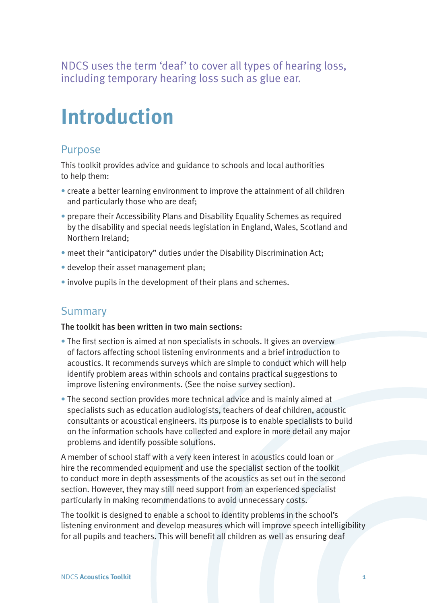NDCS uses the term 'deaf' to cover all types of hearing loss, including temporary hearing loss such as glue ear.

# **Introduction**

### Purpose

This toolkit provides advice and guidance to schools and local authorities to help them:

- create a better learning environment to improve the attainment of all children and particularly those who are deaf;
- prepare their Accessibility Plans and Disability Equality Schemes as required by the disability and special needs legislation in England, Wales, Scotland and Northern Ireland;
- meet their "anticipatory" duties under the Disability Discrimination Act;
- develop their asset management plan;
- involve pupils in the development of their plans and schemes.

## Summary

#### The toolkit has been written in two main sections:

- The first section is aimed at non specialists in schools. It gives an overview of factors affecting school listening environments and a brief introduction to acoustics. It recommends surveys which are simple to conduct which will help identify problem areas within schools and contains practical suggestions to improve listening environments. (See the noise survey section).
- The second section provides more technical advice and is mainly aimed at specialists such as education audiologists, teachers of deaf children, acoustic consultants or acoustical engineers. Its purpose is to enable specialists to build on the information schools have collected and explore in more detail any major problems and identify possible solutions.

A member of school staff with a very keen interest in acoustics could loan or hire the recommended equipment and use the specialist section of the toolkit to conduct more in depth assessments of the acoustics as set out in the second section. However, they may still need support from an experienced specialist particularly in making recommendations to avoid unnecessary costs.

The toolkit is designed to enable a school to identity problems in the school's listening environment and develop measures which will improve speech intelligibility for all pupils and teachers. This will benefit all children as well as ensuring deaf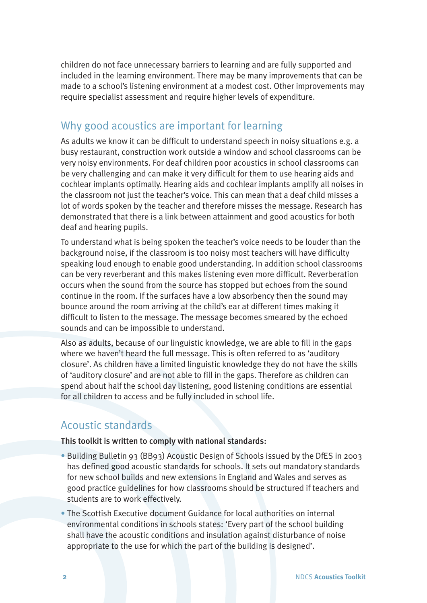children do not face unnecessary barriers to learning and are fully supported and included in the learning environment. There may be many improvements that can be made to a school's listening environment at a modest cost. Other improvements may require specialist assessment and require higher levels of expenditure.

## Why good acoustics are important for learning

As adults we know it can be difficult to understand speech in noisy situations e.g. a busy restaurant, construction work outside a window and school classrooms can be very noisy environments. For deaf children poor acoustics in school classrooms can be very challenging and can make it very difficult for them to use hearing aids and cochlear implants optimally. Hearing aids and cochlear implants amplify all noises in the classroom not just the teacher's voice. This can mean that a deaf child misses a lot of words spoken by the teacher and therefore misses the message. Research has demonstrated that there is a link between attainment and good acoustics for both deaf and hearing pupils.

To understand what is being spoken the teacher's voice needs to be louder than the background noise, if the classroom is too noisy most teachers will have difficulty speaking loud enough to enable good understanding. In addition school classrooms can be very reverberant and this makes listening even more difficult. Reverberation occurs when the sound from the source has stopped but echoes from the sound continue in the room. If the surfaces have a low absorbency then the sound may bounce around the room arriving at the child's ear at different times making it difficult to listen to the message. The message becomes smeared by the echoed sounds and can be impossible to understand.

Also as adults, because of our linguistic knowledge, we are able to fill in the gaps where we haven't heard the full message. This is often referred to as 'auditory closure'. As children have a limited linguistic knowledge they do not have the skills of 'auditory closure' and are not able to fill in the gaps. Therefore as children can spend about half the school day listening, good listening conditions are essential for all children to access and be fully included in school life.

# Acoustic standards

This toolkit is written to comply with national standards:

- Building Bulletin 93 (BB93) Acoustic Design of Schools issued by the DfES in 2003 has defined good acoustic standards for schools. It sets out mandatory standards for new school builds and new extensions in England and Wales and serves as good practice guidelines for how classrooms should be structured if teachers and students are to work effectively.
- The Scottish Executive document Guidance for local authorities on internal environmental conditions in schools states: 'Every part of the school building shall have the acoustic conditions and insulation against disturbance of noise appropriate to the use for which the part of the building is designed'.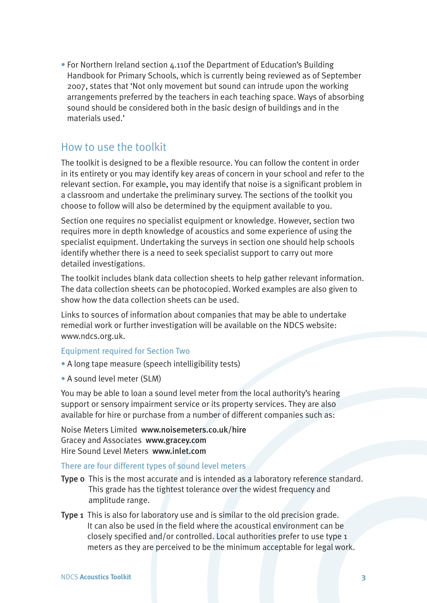• For Northern Ireland section 4.11of the Department of Education's Building Handbook for Primary Schools, which is currently being reviewed as of September 2007, states that 'Not only movement but sound can intrude upon the working arrangements preferred by the teachers in each teaching space. Ways of absorbing sound should be considered both in the basic design of buildings and in the materials used.'

## How to use the toolkit

The toolkit is designed to be a flexible resource. You can follow the content in order in its entirety or you may identify key areas of concern in your school and refer to the relevant section. For example, you may identify that noise is a significant problem in a classroom and undertake the preliminary survey. The sections of the toolkit you choose to follow will also be determined by the equipment available to you.

Section one requires no specialist equipment or knowledge. However, section two requires more in depth knowledge of acoustics and some experience of using the specialist equipment. Undertaking the surveys in section one should help schools identify whether there is a need to seek specialist support to carry out more detailed investigations.

The toolkit includes blank data collection sheets to help gather relevant information. The data collection sheets can be photocopied. Worked examples are also given to show how the data collection sheets can be used.

Links to sources of information about companies that may be able to undertake remedial work or further investigation will be available on the NDCS website: www.ndcs.org.uk.

#### Equipment required for Section Two

- A long tape measure (speech intelligibility tests)
- A sound level meter (SLM)

You may be able to loan a sound level meter from the local authority's hearing support or sensory impairment service or its property services. They are also available for hire or purchase from a number of different companies such as:

Noise Meters Limited www.noisemeters.co.uk/hire Gracey and Associates www.gracey.com Hire Sound Level Meters www.inlet.com

#### There are four different types of sound level meters

- Type 0 This is the most accurate and is intended as a laboratory reference standard. This grade has the tightest tolerance over the widest frequency and amplitude range.
- Type 1 This is also for laboratory use and is similar to the old precision grade. It can also be used in the field where the acoustical environment can be closely specified and/or controlled. Local authorities prefer to use type 1 meters as they are perceived to be the minimum acceptable for legal work.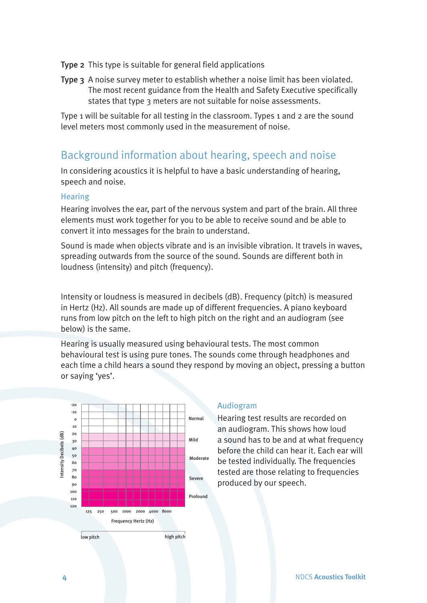- Type 2 This type is suitable for general field applications
- Type 3 A noise survey meter to establish whether a noise limit has been violated. The most recent guidance from the Health and Safety Executive specifically states that type 3 meters are not suitable for noise assessments.

Type 1 will be suitable for all testing in the classroom. Types 1 and 2 are the sound level meters most commonly used in the measurement of noise.

# Background information about hearing, speech and noise

In considering acoustics it is helpful to have a basic understanding of hearing, speech and noise.

#### Hearing

Hearing involves the ear, part of the nervous system and part of the brain. All three elements must work together for you to be able to receive sound and be able to convert it into messages for the brain to understand.

Sound is made when objects vibrate and is an invisible vibration. It travels in waves, spreading outwards from the source of the sound. Sounds are different both in loudness (intensity) and pitch (frequency).

Intensity or loudness is measured in decibels (dB). Frequency (pitch) is measured in Hertz (Hz). All sounds are made up of different frequencies. A piano keyboard runs from low pitch on the left to high pitch on the right and an audiogram (see below) is the same.

Hearing is usually measured using behavioural tests. The most common behavioural test is using pure tones. The sounds come through headphones and each time a child hears a sound they respond by moving an object, pressing a button or saying 'yes'.



#### Audiogram

Hearing test results are recorded on an audiogram. This shows how loud a sound has to be and at what frequency before the child can hear it. Each ear will be tested individually. The frequencies tested are those relating to frequencies produced by our speech.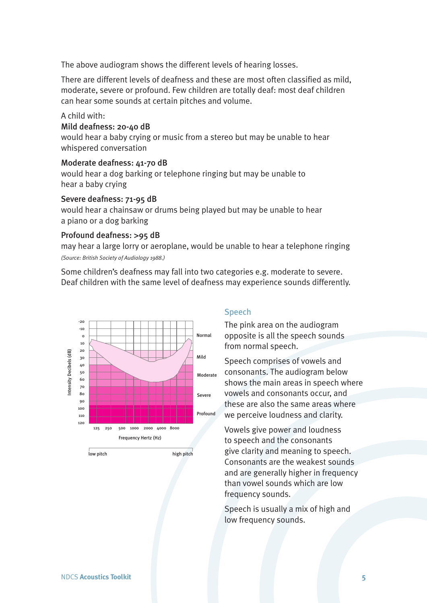The above audiogram shows the different levels of hearing losses.

There are different levels of deafness and these are most often classified as mild, moderate, severe or profound. Few children are totally deaf: most deaf children can hear some sounds at certain pitches and volume.

#### A child with:

#### Mild deafness: 20-40 dB

would hear a baby crying or music from a stereo but may be unable to hear whispered conversation

#### Moderate deafness: 41-70 dB

would hear a dog barking or telephone ringing but may be unable to hear a baby crying

#### Severe deafness: 71-95 dB

would hear a chainsaw or drums being played but may be unable to hear a piano or a dog barking

#### Profound deafness: **>**95 dB

may hear a large lorry or aeroplane, would be unable to hear a telephone ringing *(Source: British Society of Audiology 1988.)*

Some children's deafness may fall into two categories e.g. moderate to severe. Deaf children with the same level of deafness may experience sounds differently.



#### Speech

The pink area on the audiogram opposite is all the speech sounds from normal speech.

Speech comprises of vowels and consonants. The audiogram below shows the main areas in speech where vowels and consonants occur, and these are also the same areas where we perceive loudness and clarity.

Vowels give power and loudness to speech and the consonants give clarity and meaning to speech. Consonants are the weakest sounds and are generally higher in frequency than vowel sounds which are low frequency sounds.

Speech is usually a mix of high and low frequency sounds.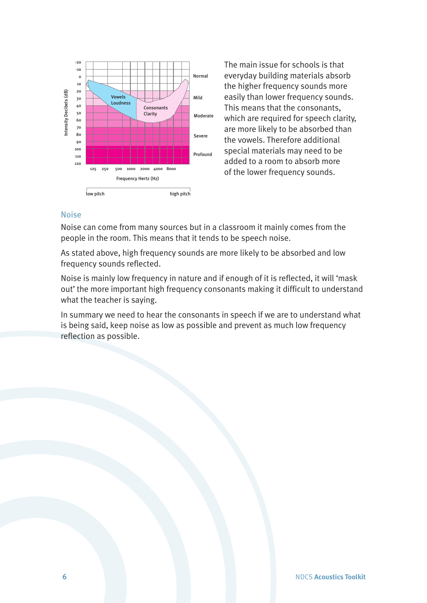

The main issue for schools is that everyday building materials absorb the higher frequency sounds more easily than lower frequency sounds. This means that the consonants, which are required for speech clarity, are more likely to be absorbed than the vowels. Therefore additional special materials may need to be added to a room to absorb more of the lower frequency sounds.

#### Noise

Noise can come from many sources but in a classroom it mainly comes from the people in the room. This means that it tends to be speech noise.

As stated above, high frequency sounds are more likely to be absorbed and low frequency sounds reflected.

Noise is mainly low frequency in nature and if enough of it is reflected, it will 'mask out' the more important high frequency consonants making it difficult to understand what the teacher is saying.

In summary we need to hear the consonants in speech if we are to understand what is being said, keep noise as low as possible and prevent as much low frequency reflection as possible.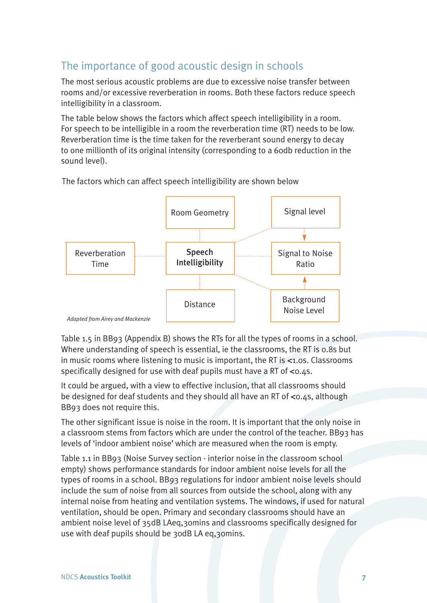# The importance of good acoustic design in schools

The most serious acoustic problems are due to excessive noise transfer between rooms and/or excessive reverberation in rooms. Both these factors reduce speech intelligibility in a classroom.

The table below shows the factors which affect speech intelligibility in a room. For speech to be intelligible in a room the reverberation time (RT) needs to be low. Reverberation time is the time taken for the reverberant sound energy to decay to one millionth of its original intensity (corresponding to a 60db reduction in the sound level).



The factors which can affect speech intelligibility are shown below

Table 1.5 in BB93 (Appendix B) shows the RTs for all the types of rooms in a school. Where understanding of speech is essential, ie the classrooms, the RT is 0.8s but in music rooms where listening to music is important, the RT is **<**1.0s. Classrooms specifically designed for use with deaf pupils must have a RT of **<**0.4s.

It could be argued, with a view to effective inclusion, that all classrooms should be designed for deaf students and they should all have an RT of **<**0.4s, although BB93 does not require this.

The other significant issue is noise in the room. It is important that the only noise in a classroom stems from factors which are under the control of the teacher. BB93 has levels of 'indoor ambient noise' which are measured when the room is empty.

Table 1.1 in BB93 (Noise Survey section - interior noise in the classroom school empty) shows performance standards for indoor ambient noise levels for all the types of rooms in a school. BB93 regulations for indoor ambient noise levels should include the sum of noise from all sources from outside the school, along with any internal noise from heating and ventilation systems. The windows, if used for natural ventilation, should be open. Primary and secondary classrooms should have an ambient noise level of 35dB LAeq,30mins and classrooms specifically designed for use with deaf pupils should be 30dB LA eq,30mins.